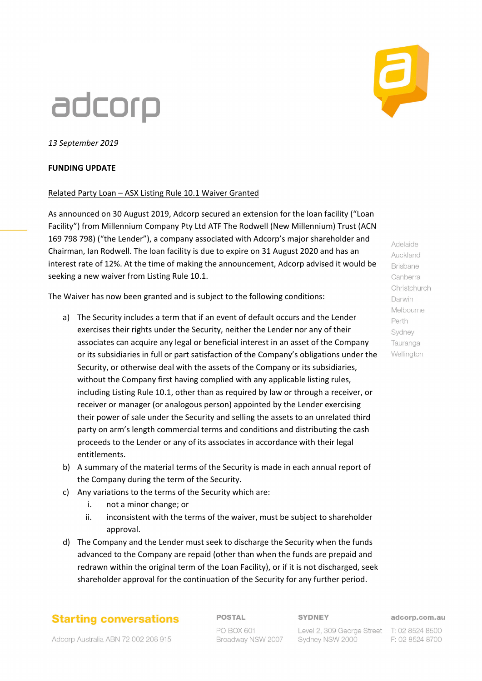# adcorp



### **FUNDING UPDATE**

#### Related Party Loan – ASX Listing Rule 10.1 Waiver Granted

As announced on 30 August 2019, Adcorp secured an extension for the loan facility ("Loan Facility") from Millennium Company Pty Ltd ATF The Rodwell (New Millennium) Trust (ACN 169 798 798) ("the Lender"), a company associated with Adcorp's major shareholder and Chairman, Ian Rodwell. The loan facility is due to expire on 31 August 2020 and has an interest rate of 12%. At the time of making the announcement, Adcorp advised it would be seeking a new waiver from Listing Rule 10.1.

The Waiver has now been granted and is subject to the following conditions:

- a) The Security includes a term that if an event of default occurs and the Lender exercises their rights under the Security, neither the Lender nor any of their associates can acquire any legal or beneficial interest in an asset of the Company or its subsidiaries in full or part satisfaction of the Company's obligations under the Security, or otherwise deal with the assets of the Company or its subsidiaries, without the Company first having complied with any applicable listing rules, including Listing Rule 10.1, other than as required by law or through a receiver, or receiver or manager (or analogous person) appointed by the Lender exercising their power of sale under the Security and selling the assets to an unrelated third party on arm's length commercial terms and conditions and distributing the cash proceeds to the Lender or any of its associates in accordance with their legal entitlements.
- b) A summary of the material terms of the Security is made in each annual report of the Company during the term of the Security.
- c) Any variations to the terms of the Security which are:
	- i. not a minor change; or
	- ii. inconsistent with the terms of the waiver, must be subject to shareholder approval.
- d) The Company and the Lender must seek to discharge the Security when the funds advanced to the Company are repaid (other than when the funds are prepaid and redrawn within the original term of the Loan Facility), or if it is not discharged, seek shareholder approval for the continuation of the Security for any further period.

## **Starting conversations**

Adcorp Australia ABN 72 002 208 915

**POSTAL** PO BOX 601

Broadway NSW 2007

**SYDNEY** 

Level 2, 309 George Street T: 02 8524 8500

Sydney NSW 2000

adcorp.com.au

F: 02 8524 8700